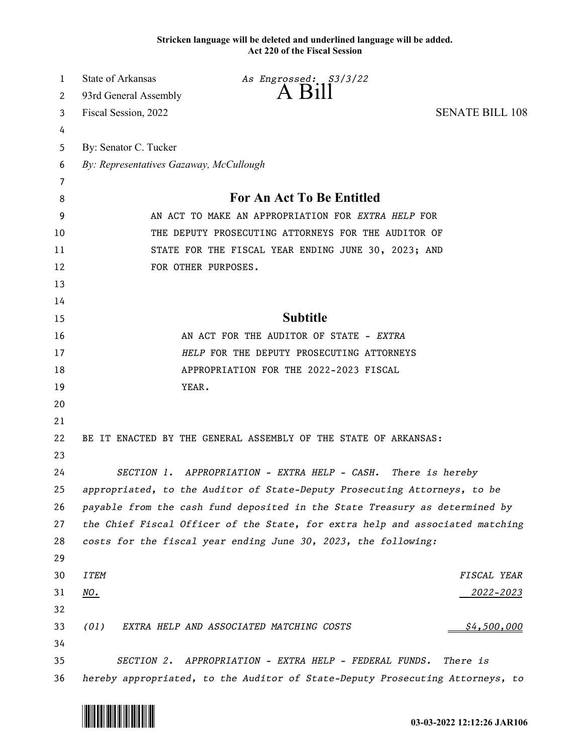**Stricken language will be deleted and underlined language will be added. Act 220 of the Fiscal Session**

| 1  | <b>State of Arkansas</b>                            | As Engrossed: S3/3/22                                                         |                        |
|----|-----------------------------------------------------|-------------------------------------------------------------------------------|------------------------|
| 2  | 93rd General Assembly                               | $A$ Bill                                                                      |                        |
| 3  | Fiscal Session, 2022                                |                                                                               | <b>SENATE BILL 108</b> |
| 4  |                                                     |                                                                               |                        |
| 5  | By: Senator C. Tucker                               |                                                                               |                        |
| 6  | By: Representatives Gazaway, McCullough             |                                                                               |                        |
| 7  |                                                     |                                                                               |                        |
| 8  |                                                     | For An Act To Be Entitled                                                     |                        |
| 9  | AN ACT TO MAKE AN APPROPRIATION FOR EXTRA HELP FOR  |                                                                               |                        |
| 10 | THE DEPUTY PROSECUTING ATTORNEYS FOR THE AUDITOR OF |                                                                               |                        |
| 11 |                                                     | STATE FOR THE FISCAL YEAR ENDING JUNE 30, 2023; AND                           |                        |
| 12 |                                                     | FOR OTHER PURPOSES.                                                           |                        |
| 13 |                                                     |                                                                               |                        |
| 14 |                                                     |                                                                               |                        |
| 15 |                                                     | <b>Subtitle</b>                                                               |                        |
| 16 |                                                     | AN ACT FOR THE AUDITOR OF STATE - EXTRA                                       |                        |
| 17 |                                                     | HELP FOR THE DEPUTY PROSECUTING ATTORNEYS                                     |                        |
| 18 |                                                     | APPROPRIATION FOR THE 2022-2023 FISCAL                                        |                        |
| 19 | YEAR.                                               |                                                                               |                        |
| 20 |                                                     |                                                                               |                        |
| 21 |                                                     |                                                                               |                        |
| 22 |                                                     | BE IT ENACTED BY THE GENERAL ASSEMBLY OF THE STATE OF ARKANSAS:               |                        |
| 23 |                                                     |                                                                               |                        |
| 24 |                                                     | SECTION 1. APPROPRIATION - EXTRA HELP - CASH. There is hereby                 |                        |
| 25 |                                                     | appropriated, to the Auditor of State-Deputy Prosecuting Attorneys, to be     |                        |
| 26 |                                                     | payable from the cash fund deposited in the State Treasury as determined by   |                        |
| 27 |                                                     | the Chief Fiscal Officer of the State, for extra help and associated matching |                        |
| 28 |                                                     | costs for the fiscal year ending June 30, 2023, the following:                |                        |
| 29 |                                                     |                                                                               |                        |
| 30 | <b>ITEM</b>                                         |                                                                               | FISCAL YEAR            |
| 31 | NO.                                                 |                                                                               | <u> 2022–2023</u>      |
| 32 |                                                     |                                                                               |                        |
| 33 | (01)                                                | EXTRA HELP AND ASSOCIATED MATCHING COSTS                                      | \$4,500,000            |
| 34 |                                                     |                                                                               |                        |
| 35 |                                                     | SECTION 2. APPROPRIATION - EXTRA HELP - FEDERAL FUNDS.                        | There is               |
| 36 |                                                     | hereby appropriated, to the Auditor of State-Deputy Prosecuting Attorneys, to |                        |

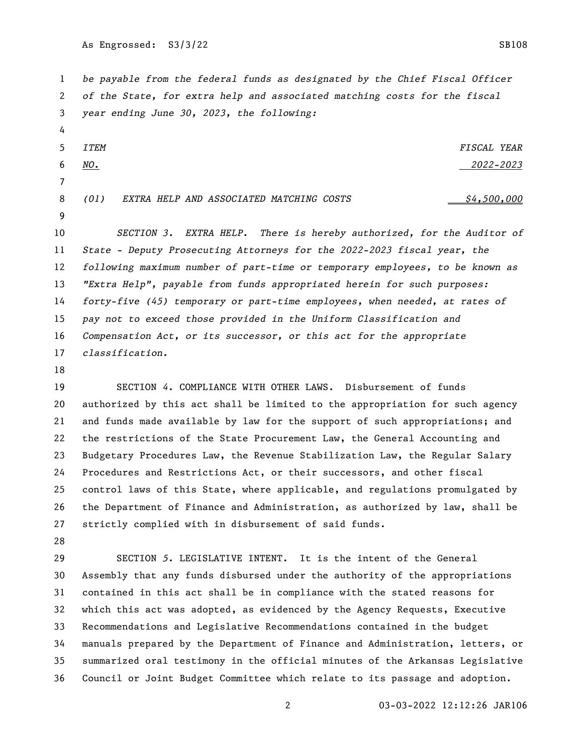As Engrossed: S3/3/22 SB108

 *be payable from the federal funds as designated by the Chief Fiscal Officer of the State, for extra help and associated matching costs for the fiscal year ending June 30, 2023, the following:*

 *ITEM FISCAL YEAR NO. 2022-2023 (01) EXTRA HELP AND ASSOCIATED MATCHING COSTS \$4,500,000*

 *SECTION 3. EXTRA HELP. There is hereby authorized, for the Auditor of State - Deputy Prosecuting Attorneys for the 2022-2023 fiscal year, the following maximum number of part-time or temporary employees, to be known as "Extra Help", payable from funds appropriated herein for such purposes: forty-five (45) temporary or part-time employees, when needed, at rates of pay not to exceed those provided in the Uniform Classification and Compensation Act, or its successor, or this act for the appropriate classification.*

 SECTION *4*. COMPLIANCE WITH OTHER LAWS. Disbursement of funds authorized by this act shall be limited to the appropriation for such agency and funds made available by law for the support of such appropriations; and the restrictions of the State Procurement Law, the General Accounting and Budgetary Procedures Law, the Revenue Stabilization Law, the Regular Salary Procedures and Restrictions Act, or their successors, and other fiscal control laws of this State, where applicable, and regulations promulgated by the Department of Finance and Administration, as authorized by law, shall be strictly complied with in disbursement of said funds.

 SECTION *5*. LEGISLATIVE INTENT. It is the intent of the General Assembly that any funds disbursed under the authority of the appropriations contained in this act shall be in compliance with the stated reasons for which this act was adopted, as evidenced by the Agency Requests, Executive Recommendations and Legislative Recommendations contained in the budget manuals prepared by the Department of Finance and Administration, letters, or summarized oral testimony in the official minutes of the Arkansas Legislative Council or Joint Budget Committee which relate to its passage and adoption.